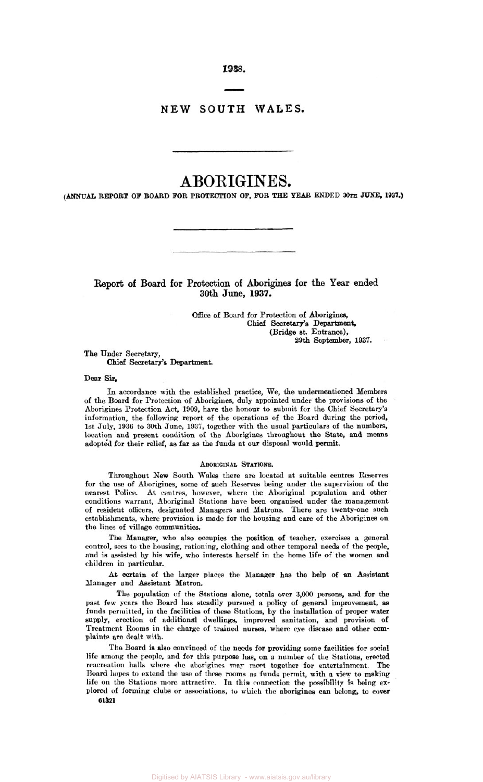*1938.* 

# **NEW SOUTH WALES.**

# **ABORIGINES.**

*(ANNUAL* **REPORT OF BOARD FOR PROTECTION OF, FOR THE** YEAR **ENDED 30th** *JUNE,* **1937.)** 

# **Report of Board for Protection of Aborigines for** the **Year ended 30th June, 1937.**

*Office* of Board for Protection of **Aborigines,**  (Bridge st. **Entrance), Chief Secretary's Department, 29th** September, **1937.** 

**The** Under Secretary, **Chief** Secretary's Department.

## **Dear** *Sir,*

In accordance with the established practice, We, the undermentioned Members of the Board for Protection of Aborigines, duly appointed under the provisions of the Aborigines Protection Act, **1909,** have the honour to submit for the Chief Secretary's information, the following report of the operations of the Board during the period, 1st July, **1936** to 30th June, **1937,** together with the usual particulars of the numbers, location and present condition of the Aborigines throughout the **State,** and means adopted for their relief, far **as** the funds at our disposal would permit.

#### **ABORIGINAL STATIONS.**

Throughout New South Wales there are located at suitable centres Reserves for the **use** of Aborigines, some of such Reserves being under the supervision of the nearest Police. At centres, however, where the Aboriginal population and other conditions warrant, Aboriginal Stations have **been** organised under the management of resident officers, designated Managers and Matrons. There are twenty-one such establishments, where provision is made for the housing and **care** of the Aborigines on the lines of village communities

The Manager, who also occupies the position **of** teacher, exercises **a** general control, **sees** to the housing, rationing, clothing and other temporal **needs** of the people, and **is** assisted by his wife, who interests herself in the home life of the women and children **in** particular.

At certain of the larger places the Manager has the help of **an** Assistant **Manager** and Assistant Matron.

The population of the Stations alone, totals over **3,000** persons, and for **the**  past few **years the** Board has steadily pursued **a** policy of general improvement, **as**  funds permitted, in the facilities of these Stations, by the installation of proper water supply, erection of additional dwellings, improved sanitation, and provision of Treatment Rooms in the **charge** of trained nurses, where eye disease and other com- plaints are **dealt with.** 

The Board is **also** convinced of the needs for providing some facilities for social life among the people, and for this **purpose has, on a** number of the Stations, **erected**  reacreation halls where the aborigines **msy meet** together for entertainment. The Board **hopes** to extend the **use** of these rooms **as** funds permit, with **a** view to **making**  life on the Stations more attractive. In this connection the possibility is being explored of forming clubs or associations, to which the aborigines can belong, to cover **61321**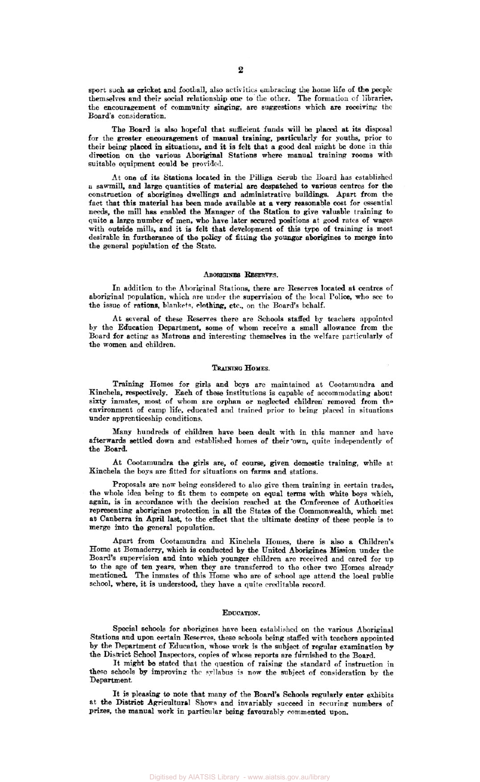**sport such** *as cricket* and football, **also** activities embracing the home life of **the** people themselves and their social relationship **one** to the other. The formation of libraries, the encouragement of community singing, are suggestions which **are receiving** the Board's consideration.

The **Board is also** hopeful that sufficient funds will be placed at its disposal for the greater encouragement *of* manual *training,* particularly for youths, prior to their **being** placed in situations, and it is felt that a **good** deal might be done in this direction on the various Aboriginal Stations where manual training rooms with suitable equipment could be provided.

At one of its Stations located in the **Pilliga** Scrub the Board has established a **sawmill,** and large quantities of material are despatched to various centres for the construction of aborigines dwellings and administrative buildings. Apart from the fact that this material has **been** made available at **a very** reasonable cost for essential **needs,** the mill has enabled the Manager of the Station to give valuable training to quite **a** large number of men, who have later secured positions **at** good rates of wages with outside mills, and it is felt that development of this type of training is most desirable in furtherance of the **policy** of *fitting-* the *younger* aborigines to merge into the general population of the State.

#### ABORIGINES **RESERVES**

**In** addition *to* the Aboriginal Stations, there are Reserves located **at** centres of aboriginal population, which are under the supervision of the local Police, who see to the issue of rations, blankets, clothing; etc., on the Board's behalf.

At several of these **Reserves** there are Schools staffed by teachers appointed by the Education Department, some of whom receive a small allowance from the Board for acting **as** Matrons and interesting themselves in the welfare particularly of the women and children.

# TRAINING HOMES.

**Training** Homes for **girls** and boys are maintained at Cootamundra and Kinchela, respectively. Each of these institutions is capable of accommodating about *sixty* inmates, most of whom are **orphan** or neglected children' removed from thenvironment of camp life, educated and trained prior to being placed in situations under apprenticeship conditions.

**Many** hundreds of children have **been** dealt with in this manner and have afterwards settled down and established homes of their own, quite independently of the Board.

At Cootamundra the girls are, of course, given domestic training, while at Kinchela the **boys** are fitted for situations on farms and stations.

Proposals are now being considered to also give them training in certain trades, the whole idea being to fit them to compete on equal **terms** with white boys which, again, is in accordance with the decision reached at the Conference of Authorities representing aborigines protection in all the States of the Commonwealth, which met **at** Canberra in April last, to the effect that the ultimate destiny of these people is to merge into the general population.

Apart from Cootamundra and Kinchela Homes, there **is also** a Children's Home at Bomaderry, which is conducted by the United Aborigines Mission under the Board's supervision and **into** which younger children are received and cared for up to the age of *ten* years, when they are transferred to the other two Homes already mentioned. The inmates of this Home who are of school **age** attend the local public school, where, it is understood, they have a quite creditable record.

#### **EDUCATION.**

Special **schools** for aborigines have been established on the various Aboriginal Stations and **upon** certain Reserves, these schools being staffed with teachers appointed by the Department of Education, whose work is the subject of regular examination by the District School Inspectors, copies of whose **reports** are furnished to the Board.

It might be stated that the question of raising the standard of instruction in these schools **by** improving the **syllabus** is **now** the subject *of* consideration **by** the Department.

It is pleasing **to note** that many *of* the Board's **Schools** regularly **enter** exhibits at the District Agricultural Shows and invariably succeed in securing numbers of prizes, the manual work in particular being favourably **commented** upon.